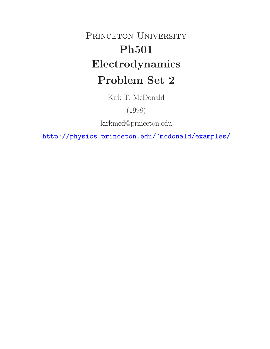## PRINCETON UNIVERSITY **Ph501 Electrodynamics Problem Set 2**

Kirk T. McDonald

(1998)

kirkmcd@princeton.edu

http://physics.princeton.edu/~mcdonald/examples/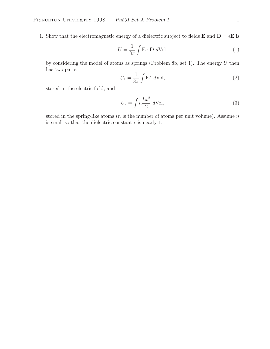1. Show that the electromagnetic energy of a dielectric subject to fields **E** and  $D = \epsilon E$  is

$$
U = \frac{1}{8\pi} \int \mathbf{E} \cdot \mathbf{D} \ d\text{Vol}, \tag{1}
$$

by considering the model of atoms as springs (Problem 8b, set 1). The energy  $U$  then has two parts:

$$
U_1 = \frac{1}{8\pi} \int \mathbf{E}^2 \ d\text{Vol},\tag{2}
$$

stored in the electric field, and

$$
U_2 = \int n \frac{kx^2}{2} d\text{Vol},\tag{3}
$$

stored in the spring-like atoms ( $n$  is the number of atoms per unit volume). Assume  $n$ is small so that the dielectric constant  $\epsilon$  is nearly 1.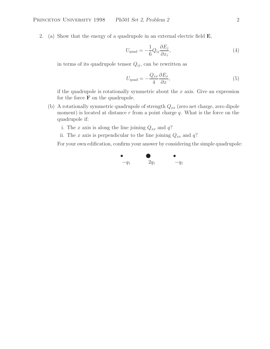2. (a) Show that the energy of a quadrupole in an external electric field **E**,

$$
U_{\text{quad}} = -\frac{1}{6} Q_{ij} \frac{\partial E_j}{\partial x_i},\tag{4}
$$

in terms of its quadrupole tensor  $Q_{ij}$ , can be rewritten as

$$
U_{\text{quad}} = -\frac{Q_{xx}}{4} \frac{\partial E_x}{\partial x},\tag{5}
$$

if the quadrupole is rotationally symmetric about the  $x$  axis. Give an expression for the force  $\mathbf F$  on the quadrupole.

- (b) A rotationally symmetric quadrupole of strength  $Q_{xx}$  (zero net charge, zero dipole moment) is located at distance  $r$  from a point charge  $q$ . What is the force on the quadrupole if:
	- i. The x axis is along the line joining  $Q_{xx}$  and  $q$ ?
	- ii. The x axis is perpendicular to the line joining  $Q_{xx}$  and  $q$ ?

For your own edification, confirm your answer by considering the simple quadrupole:

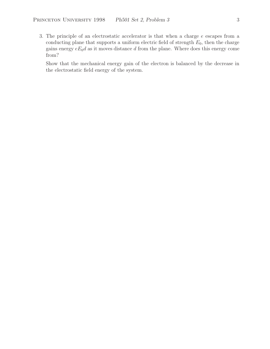3. The principle of an electrostatic accelerator is that when a charge e escapes from a conducting plane that supports a uniform electric field of strength  $E_0$ , then the charge gains energy  $eE_0d$  as it moves distance d from the plane. Where does this energy come from?

Show that the mechanical energy gain of the electron is balanced by the decrease in the electrostatic field energy of the system.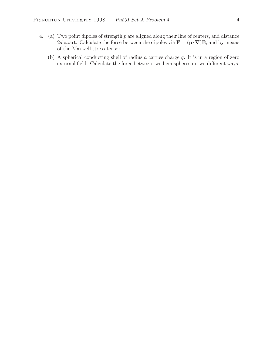- 4. (a) Two point dipoles of strength p are aligned along their line of centers, and distance 2d apart. Calculate the force between the dipoles via  $\mathbf{F} = (\mathbf{p} \cdot \nabla) \mathbf{E}$ , and by means of the Maxwell stress tensor.
	- (b) A spherical conducting shell of radius a carries charge q. It is in a region of zero external field. Calculate the force between two hemispheres in two different ways.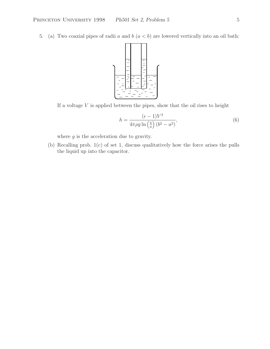5. (a) Two coaxial pipes of radii a and  $b(a < b)$  are lowered vertically into an oil bath:



If a voltage  $V$  is applied between the pipes, show that the oil rises to height

$$
h = \frac{(\epsilon - 1)V^2}{4\pi \rho g \ln\left(\frac{b}{a}\right)(b^2 - a^2)},\tag{6}
$$

where  $g$  is the acceleration due to gravity.

(b) Recalling prob. 1(c) of set 1, discuss qualitatively how the force arises the pulls the liquid up into the capacitor.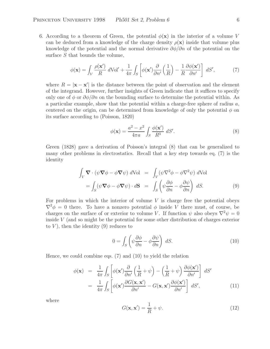6. According to a theorem of Green, the potential  $\phi(\mathbf{x})$  in the interior of a volume V can be deduced from a knowledge of the charge density  $\rho(\mathbf{x})$  inside that volume plus knowledge of the potential and the normal derivative  $\partial \phi / \partial n$  of the potential on the surface  $S$  that bounds the volume,

$$
\phi(\mathbf{x}) = \int_{V} \frac{\rho(\mathbf{x}')}{R} d\text{Vol}' + \frac{1}{4\pi} \int_{S} \left[ \phi(\mathbf{x}') \frac{\partial}{\partial n'} \left( \frac{1}{R} \right) - \frac{1}{R} \frac{\partial \phi(\mathbf{x}')}{\partial n'} \right] dS', \tag{7}
$$

where  $R = |\mathbf{x} - \mathbf{x}'|$  is the distance between the point of observation and the element of the integrand. However, further insights of Green indicate that it suffices to specify only one of  $\phi$  or  $\partial \phi / \partial n$  on the bounding surface to determine the potential within. As a particular example, show that the potential within a charge-free sphere of radius a, centered on the origin, can be determined from knowledge of only the potential  $\phi$  on its surface according to (Poisson, 1820)

$$
\phi(\mathbf{x}) = \frac{a^2 - x^2}{4\pi a} \int_S \frac{\phi(\mathbf{x}')}{R^3} dS'.
$$
\n(8)

Green (1828) gave a derivation of Poisson's integral (8) that can be generalized to many other problems in electrostatics. Recall that a key step towards eq. (7) is the identity

$$
\int_{V} \mathbf{\nabla} \cdot (\psi \mathbf{\nabla} \phi - \phi \mathbf{\nabla} \psi) d\text{Vol} = \int_{V} (\psi \nabla^{2} \phi - \phi \nabla^{2} \psi) d\text{Vol} \n= \int_{S} (\psi \mathbf{\nabla} \phi - \phi \mathbf{\nabla} \psi) \cdot d\mathbf{S} = \int_{S} \left( \psi \frac{\partial \phi}{\partial n} - \phi \frac{\partial \psi}{\partial n} \right) dS.
$$
\n(9)

For problems in which the interior of volume  $V$  is charge free the potential obeys  $\nabla^2 \phi = 0$  there. To have a nonzero potential  $\phi$  inside V there must, of course, be charges on the surface of or exterior to volume V. If function  $\psi$  also obeys  $\nabla^2 \psi = 0$ inside V (and so might be the potential for some other distribution of charges exterior to  $V$ ), then the identity (9) reduces to

$$
0 = \int_{S} \left( \psi \frac{\partial \phi}{\partial n} - \phi \frac{\partial \psi}{\partial n} \right) dS. \tag{10}
$$

Hence, we could combine eqs. (7) and (10) to yield the relation

$$
\phi(\mathbf{x}) = \frac{1}{4\pi} \int_{S} \left[ \phi(\mathbf{x}') \frac{\partial}{\partial n'} \left( \frac{1}{R} + \psi \right) - \left( \frac{1}{R} + \psi \right) \frac{\partial \phi(\mathbf{x}')}{\partial n'} \right] dS'
$$
  

$$
= \frac{1}{4\pi} \int_{S} \left[ \phi(\mathbf{x}') \frac{\partial G(\mathbf{x}, \mathbf{x}')}{\partial n'} - G(\mathbf{x}, \mathbf{x}') \frac{\partial \phi(\mathbf{x}')}{\partial n'} \right] dS', \tag{11}
$$

where

$$
G(\mathbf{x}, \mathbf{x}') = \frac{1}{R} + \psi.
$$
 (12)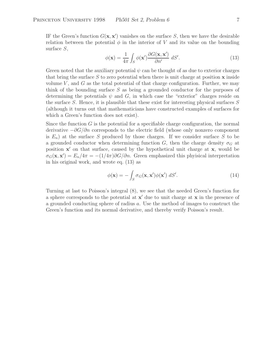IF the Green's function  $G(\mathbf{x}, \mathbf{x}')$  vanishes on the surface S, then we have the desirable relation between the potential  $\phi$  in the interior of V and its value on the bounding surface S,

$$
\phi(\mathbf{x}) = \frac{1}{4\pi} \int_{S} \phi(\mathbf{x}') \frac{\partial G(\mathbf{x}, \mathbf{x}')}{\partial n'} dS'.
$$
\n(13)

Green noted that the auxiliary potential  $\psi$  can be thought of as due to exterior charges that bring the surface S to zero potential when there is unit charge at position **x** inside volume  $V$ , and  $G$  as the total potential of that charge configuration. Further, we may think of the bounding surface  $S$  as being a grounded conductor for the purposes of determining the potentials  $\psi$  and G, in which case the "exterior" charges reside on the surface  $S$ . Hence, it is plausible that these exist for interesting physical surfaces  $S$ (although it turns out that mathematicians have constructed examples of surfaces for which a Green's function does not exist).

Since the function  $G$  is the potential for a specifiable charge configuration, the normal derivative  $-\partial G/\partial n$  corresponds to the electric field (whose only nonzero component is  $E_n$ ) at the surface S produced by those charges. If we consider surface S to be a grounded conductor when determining function G, then the charge density  $\sigma_G$  at position **x'** on that surface, caused by the hypothetical unit charge at **x**, would be  $\sigma_G(\mathbf{x}, \mathbf{x}') = E_n/4\pi = -(1/4\pi)\partial G/\partial n$ . Green emphasized this phyisical interpretation in his original work, and wrote eq. (13) as

$$
\phi(\mathbf{x}) = -\int_{S} \sigma_{G}(\mathbf{x}, \mathbf{x}') \phi(\mathbf{x}') dS'. \tag{14}
$$

Turning at last to Poisson's integral (8), we see that the needed Green's function for a sphere corresponds to the potential at **x**<sup> $\prime$ </sup> due to unit charge at **x** in the presence of a grounded conducting sphere of radius a. Use the method of images to construct the Green's function and its normal derivative, and thereby verify Poisson's result.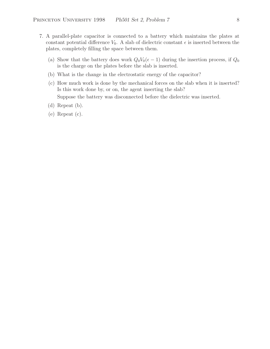- 7. A parallel-plate capacitor is connected to a battery which maintains the plates at constant potential difference  $V_0$ . A slab of dielectric constant  $\epsilon$  is inserted between the plates, completely filling the space between them.
	- (a) Show that the battery does work  $Q_0V_0(\epsilon-1)$  during the insertion process, if  $Q_0$ is the charge on the plates before the slab is inserted.
	- (b) What is the change in the electrostatic energy of the capacitor?
	- (c) How much work is done by the mechanical forces on the slab when it is inserted? Is this work done by, or on, the agent inserting the slab? Suppose the battery was disconnected before the dielectric was inserted.
	- (d) Repeat (b).
	- (e) Repeat (c).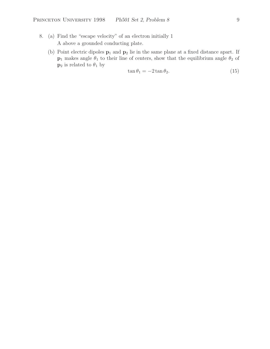- 8. (a) Find the "escape velocity" of an electron initially 1 A above a grounded conducting plate.
	- (b) Point electric dipoles **p**<sup>1</sup> and **p**<sup>2</sup> lie in the same plane at a fixed distance apart. If **p**<sub>1</sub> makes angle  $\theta_1$  to their line of centers, show that the equilibrium angle  $\theta_2$  of  $\mathbf{p}_2$  is related to  $\theta_1$  by

$$
\tan \theta_1 = -2 \tan \theta_2. \tag{15}
$$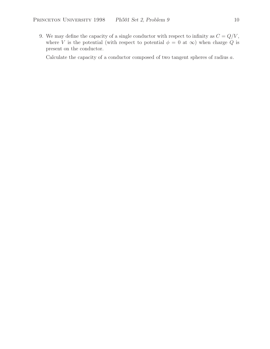9. We may define the capacity of a single conductor with respect to infinity as  $C = Q/V$ , where V is the potential (with respect to potential  $\phi = 0$  at  $\infty$ ) when charge Q is present on the conductor.

Calculate the capacity of a conductor composed of two tangent spheres of radius a.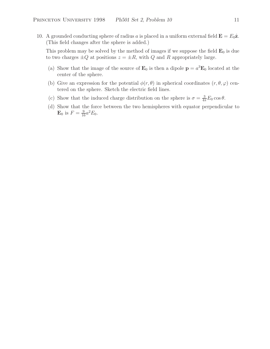10. A grounded conducting sphere of radius a is placed in a uniform external field  $\mathbf{E} = E_0 \hat{\mathbf{z}}$ . (This field changes after the sphere is added.)

This problem may be solved by the method of images if we suppose the field  $\mathbf{E}_0$  is due to two charges  $\pm Q$  at positions  $z = \pm R$ , with Q and R appropriately large.

- (a) Show that the image of the source of  $\mathbf{E}_0$  is then a dipole  $\mathbf{p} = a^3 \mathbf{E}_0$  located at the center of the sphere.
- (b) Give an expression for the potential  $\phi(r, \theta)$  in spherical coordinates  $(r, \theta, \varphi)$  centered on the sphere. Sketch the electric field lines.
- (c) Show that the induced charge distribution on the sphere is  $\sigma = \frac{3}{4\pi} E_0 \cos \theta$ .
- (d) Show that the force between the two hemispheres with equator perpendicular to **E**<sub>0</sub> is  $F = \frac{9}{16}a^2E_0$ .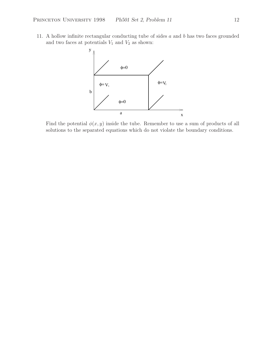11. A hollow infinite rectangular conducting tube of sides  $a$  and  $b$  has two faces grounded and two faces at potentials  $V_1$  and  $V_2$  as shown:



Find the potential  $\phi(x, y)$  inside the tube. Remember to use a sum of products of all solutions to the separated equations which do not violate the boundary conditions.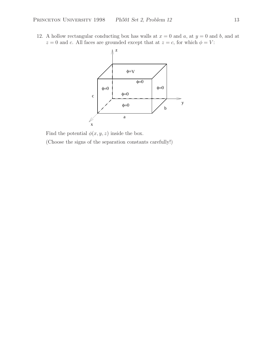12. A hollow rectangular conducting box has walls at  $x = 0$  and a, at  $y = 0$  and b, and at  $z = 0$  and c. All faces are grounded except that at  $z = c$ , for which  $\phi = V$ :



Find the potential  $\phi(x,y,z)$  inside the box. (Choose the signs of the separation constants carefully!)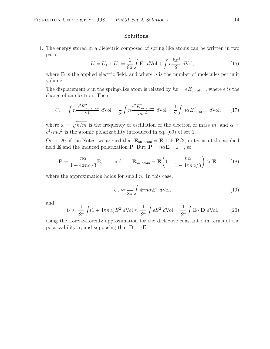## **Solutions**

1. The energy stored in a dielectric composed of spring like atoms can be written in two parts,

$$
U = U_1 + U_2 = \frac{1}{8\pi} \int \mathbf{E}^2 \ d\text{Vol} + \int n \frac{kx^2}{2} \ d\text{Vol},\tag{16}
$$

where  $\bf{E}$  is the applied electric field, and where  $n$  is the number of molecules per unit volume.

The displacement x in the spring-like atom is related by  $kx = eE_{on}$  atom, where e is the charge of an electron. Then,

$$
U_2 = \int n \frac{e^2 E_{\text{on atom}}^2}{2k} \, d\text{Vol} = \frac{1}{2} \int n \frac{e^2 E_{\text{on atom}}^2}{m\omega^2} \, d\text{Vol} = \frac{1}{2} \int n \alpha E_{\text{on atom}}^2 \, d\text{Vol},\qquad(17)
$$

where  $\omega = \sqrt{k/m}$  is the frequency of oscillation of the electron of mass m, and  $\alpha =$  $e^2/m\omega^2$  is the atomic polarizability introduced in eq. (69) of set 1.

On p. 20 of the Notes, we argued that  $\mathbf{E}_{on \text{atom}} = \mathbf{E} + 4\pi \mathbf{P}/3$ , in terms of the applied field **E** and the induced polarization **P**. But,  $P = n\alpha E_{\text{on atom}}$ , so

$$
\mathbf{P} = \frac{n\alpha}{1 - 4\pi n\alpha/3} \mathbf{E}, \quad \text{and} \quad \mathbf{E}_{\text{on atom}} = \mathbf{E} \left( 1 + \frac{n\alpha}{1 - 4\pi n\alpha/3} \right) \approx \mathbf{E}, \quad (18)
$$

where the approximation holds for small  $n$ . In this case,

$$
U_2 \approx \frac{1}{8\pi} \int 4\pi n \alpha E^2 \ d\text{Vol},\tag{19}
$$

and

$$
U \approx \frac{1}{8\pi} \int (1 + 4\pi n\alpha) E^2 \ d\text{Vol} \approx \frac{1}{8\pi} \int \epsilon E^2 \ d\text{Vol} = \frac{1}{8\pi} \int \mathbf{E} \cdot \mathbf{D} \ d\text{Vol},\tag{20}
$$

using the Lorenz-Lorentz approximation for the dielectric constant  $\epsilon$  in terms of the polarizability  $\alpha$ , and supposing that  $\mathbf{D} = \epsilon \mathbf{E}$ .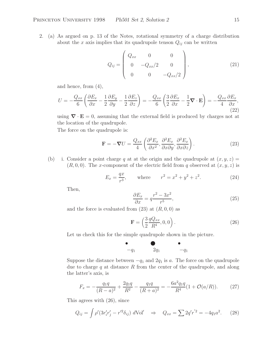2. (a) As argued on p. 13 of the Notes, rotational symmetry of a charge distribution about the x axis implies that its quadrupole tenson  $Q_{ij}$  can be written

$$
Q_{ij} = \begin{pmatrix} Q_{xx} & 0 & 0 \\ 0 & -Q_{xx}/2 & 0 \\ 0 & 0 & -Q_{xx}/2 \end{pmatrix},
$$
(21)

and hence, from (4),

$$
U = -\frac{Q_{xx}}{6} \left( \frac{\partial E_x}{\partial x} - \frac{1}{2} \frac{\partial E_y}{\partial y} - \frac{1}{2} \frac{\partial E_z}{\partial z} \right) = -\frac{Q_{xx}}{6} \left( \frac{3}{2} \frac{\partial E_x}{\partial x} - \frac{1}{2} \nabla \cdot \mathbf{E} \right) = -\frac{Q_{xx}}{4} \frac{\partial E_x}{\partial x},\tag{22}
$$

using  $\nabla \cdot \mathbf{E} = 0$ , assuming that the external field is produced by charges not at the location of the quadrupole.

The force on the quadrupole is:

$$
\mathbf{F} = -\boldsymbol{\nabla}U = \frac{Q_{xx}}{4} \left( \frac{\partial^2 E_x}{\partial x^2}, \frac{\partial^2 E_x}{\partial x \partial y}, \frac{\partial^2 E_x}{\partial x \partial z} \right).
$$
 (23)

(b) i. Consider a point charge q at at the origin and the quadrupole at  $(x, y, z) =$  $(R, 0, 0)$ . The x-component of the electric field from q observed at  $(x, y, z)$  is

$$
E_x = \frac{qx}{r^3}, \quad \text{where} \quad r^2 = x^2 + y^2 + z^2. \tag{24}
$$

Then,

$$
\frac{\partial E_x}{\partial x} = q \frac{r^2 - 3x^2}{r^5},\tag{25}
$$

and the force is evaluated from  $(23)$  at  $(R, 0, 0)$  as

$$
\mathbf{F} = \left(\frac{3}{2}\frac{qQ_{xx}}{R^4}, 0, 0\right). \tag{26}
$$

Let us check this for the simple quadrupole shown in the picture.

-−q<sup>1</sup> ② 2q<sup>1</sup> -−q<sup>1</sup>

Suppose the distance between  $-q_1$  and  $2q_1$  is a. The force on the quadrupole due to charge  $q$  at distance  $R$  from the center of the quadrupole, and along the latter's axis, is

$$
F_x = -\frac{q_1 q}{(R-a)^2} + \frac{2q_1 q}{R^2} - \frac{q_1 q}{(R+a)^2} = -\frac{6a^2 q_1 q}{R^4} (1 + \mathcal{O}(a/R)).
$$
 (27)

This agrees with (26), since

$$
Q_{ij} = \int \rho' (3r'_i r'_j - r'^2 \delta_{ij}) dVol' \quad \Rightarrow \quad Q_{xx} = \sum 2q' r'^2 = -4q_1 a^2. \tag{28}
$$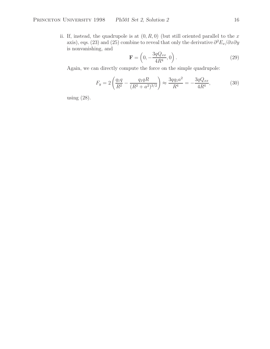ii. If, instead, the quadrupole is at  $(0, R, 0)$  (but still oriented parallel to the x axis), eqs. (23) and (25) combine to reveal that only the derivative  $\partial^2 E_x/\partial x \partial y$ is nonvanishing, and

$$
\mathbf{F} = \left(0, -\frac{3qQ_{xx}}{4R^4}, 0\right). \tag{29}
$$

Again, we can directly compute the force on the simple quadrupole:

$$
F_y = 2\left(\frac{q_1q}{R^2} - \frac{q_1qR}{(R^2 + a^2)^{3/2}}\right) \approx \frac{3qq_1a^2}{R^4} = -\frac{3qQ_{xx}}{4R^4},\tag{30}
$$

using (28).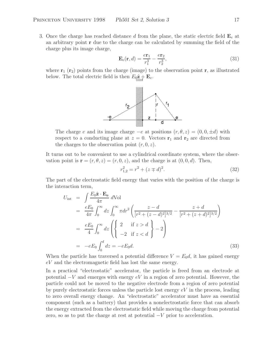3. Once the charge has reached distance d from the plane, the static electric field  $\mathbf{E}_e$  at an arbitrary point **r** due to the charge can be calculated by summing the field of the charge plus its image charge,

$$
\mathbf{E}_e(\mathbf{r}, d) = \frac{e\mathbf{r}_1}{r_1^3} - \frac{e\mathbf{r}_2}{r_2^3},\tag{31}
$$

where  $\mathbf{r}_1$  ( $\mathbf{r}_2$ ) points from the charge (image) to the observation point **r**, as illustrated below. The total electric field is then  $E_0 \hat{\mathbf{z}} + \mathbf{E}_e$ .



The charge e and its image charge  $-e$  at positions  $(r, \theta, z) = (0, 0, \pm d)$  with respect to a conducting plane at  $z = 0$ . Vectors  $\mathbf{r}_1$  and  $\mathbf{r}_2$  are directed from the charges to the observation point  $(r, 0, z)$ .

It turns out to be convenient to use a cylindrical coordinate system, where the observation point is  $\mathbf{r} = (r, \theta, z) = (r, 0, z)$ , and the charge is at  $(0, 0, d)$ . Then,

$$
r_{1,2}^2 = r^2 + (z \mp d)^2. \tag{32}
$$

The part of the electrostatic field energy that varies with the position of the charge is the interaction term,

$$
U_{int} = \int \frac{E_0 \hat{\mathbf{z}} \cdot \mathbf{E_e}}{4\pi} dVol
$$
  
\n
$$
= \frac{eE_0}{4\pi} \int_0^\infty dz \int_0^\infty \pi dr^2 \left( \frac{z - d}{[r^2 + (z - d)^2]^{3/2}} - \frac{z + d}{[r^2 + (z + d)^2]^{3/2}} \right)
$$
  
\n
$$
= \frac{eE_0}{4} \int_0^\infty dz \left( \left\{ 2 \text{ if } z > d \atop -2 \text{ if } z < d \right\} - 2 \right)
$$
  
\n
$$
= -eE_0 \int_0^d dz = -eE_0 d.
$$
 (33)

When the particle has traversed a potential difference  $V = E_0 d$ , it has gained energy eV and the electromagnetic field has lost the same energy.

In a practical "electrostatic" accelerator, the particle is freed from an electrode at potential  $-V$  and emerges with energy  $eV$  in a region of zero potential. However, the particle could not be moved to the negative electrode from a region of zero potential by purely electrostatic forces unless the particle lost energy  $eV$  in the process, leading to zero overall energy change. An "electrostatic" accelerator must have an essential component (such as a battery) that provides a nonelectrostatic force that can absorb the energy extracted from the electrostatic field while moving the charge from potential zero, so as to put the charge at rest at potential  $-V$  prior to acceleration.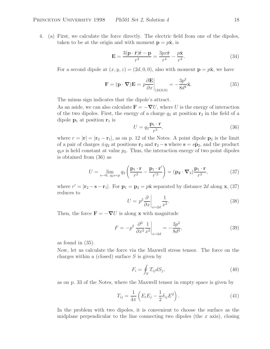4. (a) First, we calculate the force directly. The electric field from one of the dipoles, taken to be at the origin and with moment  $\mathbf{p} = p\hat{\mathbf{x}}$ , is

$$
\mathbf{E} = \frac{3(\mathbf{p} \cdot \hat{\mathbf{r}})\hat{\mathbf{r}} - \mathbf{p}}{r^3} = \frac{3px\hat{\mathbf{r}}}{r^4} - \frac{p\hat{\mathbf{x}}}{r^3}.
$$
 (34)

For a second dipole at  $(x, y, z) = (2d, 0, 0)$ , also with moment  $\mathbf{p} = p\hat{\mathbf{x}}$ , we have

$$
\mathbf{F} = (\mathbf{p} \cdot \nabla) \mathbf{E} = p \frac{\partial \mathbf{E}}{\partial x} \bigg|_{(2d,0,0)} = -\frac{3p^2}{8d^4} \hat{\mathbf{x}}.
$$
 (35)

The minus sign indicates that the dipole's attract.

As an aside, we can also calculate  $\mathbf{F} = -\boldsymbol{\nabla}U$ , where U is the energy of interaction of the two dipoles. First, the energy of a charge  $q_2$  at position  $\mathbf{r}_2$  in the field of a dipole  $\mathbf{p}_1$  at position  $\mathbf{r}_1$  is

$$
U = q_2 \frac{\mathbf{p}_1 \cdot \mathbf{r}}{r^3},\tag{36}
$$

where  $r = |\mathbf{r}| = |\mathbf{r}_2 - \mathbf{r}_1|$ , as on p. 12 of the Notes. A point dipole  $\mathbf{p}_2$  is the limit of a pair of charges  $\pm q_2$  at positions **r**<sub>2</sub> and **r**<sub>2</sub> − **s** where **s** =  $s\hat{p}_2$ , and the product  $q_2$ s is held constant at value  $p_2$ . Thus, the interaction energy of two point dipoles is obtained from (36) as

$$
U = \lim_{s \to 0, q_2 s = p} q_2 \left( \frac{\mathbf{p}_1 \cdot \mathbf{r}}{r^3} - \frac{\mathbf{p}_1 \cdot \mathbf{r'}}{r'^3} \right) = (\mathbf{p}_2 \cdot \nabla_2) \frac{\mathbf{p}_1 \cdot \mathbf{r}}{r^3},\tag{37}
$$

where  $r' = |\mathbf{r}_2 - \mathbf{s} - \mathbf{r}_1|$ . For  $\mathbf{p}_1 = \mathbf{p}_2 = p\hat{\mathbf{x}}$  separated by distance 2d along **x**, (37) reduces to

$$
U = p^2 \frac{\partial}{\partial x} \bigg|_{x=2d} \frac{1}{x^2}.
$$
\n(38)

Then, the force  $\mathbf{F} = -\nabla U$  is along **x** with magnitude

$$
F = -p^2 \left. \frac{\partial^2}{\partial x^2} \frac{1}{x^2} \right|_{x=2d} = -\frac{3p^2}{8d^4},\tag{39}
$$

as found in (35).

Now, let us calculate the force via the Maxwell stress tensor. The force on the charges within a (closed) surface  $S$  is given by

$$
F_i = \oint_S T_{ij} dS_j,\tag{40}
$$

as on p. 33 of the Notes, where the Maxwell tensor in empty space is given by

$$
T_{ij} = \frac{1}{4\pi} \left( E_i E_j - \frac{1}{2} \delta_{ij} E^2 \right).
$$
 (41)

In the problem with two dipoles, it is convenient to choose the surface as the midplane perpendicular to the line connecting two dipoles (the  $x$  axis), closing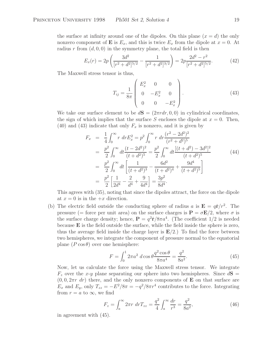the surface at infinity around one of the dipoles. On this plane  $(x = d)$  the only nonzero component of **E** is  $E_x$ , and this is twice  $E_x$  from the dipole at  $x = 0$ . At radius r from  $(d, 0, 0)$  in the symmetry plane, the total field is then

$$
E_x(r) = 2p \left( \frac{3d^2}{[r^2 + d^2]^{5/2}} - \frac{1}{[r^2 + d^2]^{3/2}} \right) = 2p \frac{2d^2 - r^2}{[r^2 + d^2]^{5/2}}.
$$
 (42)

The Maxwell stress tensor is thus,

$$
T_{ij} = \frac{1}{8\pi} \begin{pmatrix} E_x^2 & 0 & 0 \\ 0 & -E_x^2 & 0 \\ 0 & 0 & -E_x^2 \end{pmatrix} .
$$
 (43)

We take our surface element to be  $dS = (2\pi r dr, 0, 0)$  in cylindrical coordinates, the sign of which implies that the surface S encloses the dipole at  $x = 0$ . Then, (40) and (43) indicate that only  $F_x$  is nonzero, and it is given by

$$
F_x = \frac{1}{4} \int_0^\infty r \, dr E_x^2 = p^2 \int_0^\infty r \, dr \frac{(r^2 - 2d^2)^2}{(r^2 + d^2)^5}
$$
  
\n
$$
= \frac{p^2}{2} \int_0^\infty dt \frac{(t - 2d^2)^2}{(t + d^2)^5} = \frac{p^2}{2} \int_0^\infty dt \frac{[(t + d^2) - 3d^2]^2}{(t + d^2)^5}
$$
(44)  
\n
$$
= \frac{p^2}{2} \int_0^\infty dt \left[ \frac{1}{(t + d^2)^3} - \frac{6d^2}{(t + d^2)^4} + \frac{9d^4}{(t + d^2)^5} \right]
$$
  
\n
$$
= \frac{p^2}{2} \left[ \frac{1}{2d^4} - \frac{2}{d^4} + \frac{9}{4d^4} \right] = \frac{3p^2}{8d^4}.
$$

This agrees with (35), noting that since the dipoles attract, the force on the dipole at  $x = 0$  is in the  $+x$  direction.

(b) The electric field outside the conducting sphere of radius a is  $\mathbf{E} = q\hat{\mathbf{r}}/r^2$ . The pressure (= force per unit area) on the surface charges is  $P = \sigma E/2$ , where  $\sigma$  is the surface charge density; hence,  $P = q^2 \hat{r}/8\pi a^4$ . (The coefficient 1/2 is needed because **E** is the field outside the surface, while the field inside the sphere is zero, thus the average field inside the charge layer is  $E/2$ .) To find the force between two hemispheres, we integrate the component of pressure normal to the equatorial plane  $(P \cos \theta)$  over one hemisphere:

$$
F = \int_0^1 2\pi a^2 \, d\cos\theta \frac{q^2 \cos\theta}{8\pi a^4} = \frac{q^2}{8a^2}.
$$
 (45)

Now, let us calculate the force using the Maxwell stress tensor. We integrate  $F<sub>z</sub>$  over the x-y plane separating our sphere into two hemispheres. Since  $dS =$  $(0, 0, 2\pi r \, dr)$  there, and the only nonzero components of **E** on that surface are  $E_x$  and  $E_y$ , only  $T_{zz} = -E^2/8\pi = -q^2/8\pi r^4$  contributes to the force. Integrating from  $r = a$  to  $\infty$ , we find

$$
F_z = \int_a^{\infty} 2\pi r \, dr T_{zz} = \frac{q^2}{4} \int_a^{\infty} \frac{dr}{r^3} = \frac{q^2}{8a^2},\tag{46}
$$

in agreement with (45).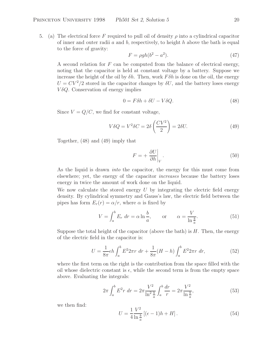5. (a) The electrical force F required to pull oil of density  $\rho$  into a cylindrical capacitor of inner and outer radii a and b, respectively, to height h above the bath is equal to the force of gravity:

$$
F = \rho gh(b^2 - a^2). \tag{47}
$$

A second relation for  $F$  can be computed from the balance of electrical energy, noting that the capacitor is held at constant voltage by a battery. Suppose we increase the height of the oil by  $\delta h$ . Then, work  $F \delta h$  is done on the oil, the energy  $U = CV^2/2$  stored in the capacitor changes by  $\delta U$ , and the battery loses energy  $V\delta Q$ . Conservation of energy implies

$$
0 = F\delta h + \delta U - V\delta Q. \tag{48}
$$

Since  $V = Q/C$ , we find for constant voltage,

$$
V\delta Q = V^2 \delta C = 2\delta \left(\frac{CV^2}{2}\right) = 2\delta U.
$$
 (49)

Together, (48) and (49) imply that

$$
F = +\left. \frac{\partial U}{\partial h} \right|_{V}.
$$
\n(50)

As the liquid is drawn *into* the capacitor, the energy for this must come from elsewhere; yet, the energy of the capacitor *increases* because the battery loses energy in twice the amount of work done on the liquid.

We now calculate the stored energy  $U$  by integrating the electric field energy density. By cylindrical symmetry and Gauss's law, the electric field between the pipes has form  $E_r(r) = \alpha/r$ , where  $\alpha$  is fixed by

$$
V = \int_{a}^{b} E_r dr = \alpha \ln \frac{b}{a}, \qquad \text{or} \qquad \alpha = \frac{V}{\ln \frac{b}{a}}.
$$
 (51)

Suppose the total height of the capacitor (above the bath) is  $H$ . Then, the energy of the electric field in the capacitor is:

$$
U = \frac{1}{8\pi} \epsilon h \int_{a}^{b} E^{2} 2\pi r \, dr + \frac{1}{8\pi} (H - h) \int_{a}^{b} E^{2} 2\pi r \, dr,\tag{52}
$$

where the first term on the right is the contribution from the space filled with the oil whose dielectric constant is  $\epsilon$ , while the second term is from the empty space above. Evaluating the integrals:

$$
2\pi \int_{a}^{b} E^{2}r \, dr = 2\pi \frac{V^{2}}{\ln^{2} \frac{b}{a}} \int_{a}^{b} \frac{dr}{r} = 2\pi \frac{V^{2}}{\ln \frac{b}{a}},\tag{53}
$$

we then find:

$$
U = \frac{1}{4} \frac{V^2}{\ln \frac{b}{a}} \left[ (\epsilon - 1)h + H \right].
$$
 (54)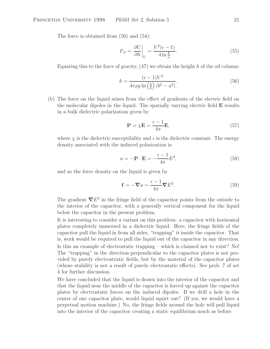The force is obtained from  $(50)$  and  $(54)$ :

$$
F_{el} = \left. \frac{\partial U}{\partial h} \right|_{V} = \frac{V^2(\epsilon - 1)}{4 \ln \frac{b}{a}}.
$$
\n(55)

Equating this to the force of gravity,  $(47)$  we obtain the height h of the oil column:

$$
h = \frac{(\epsilon - 1)V^2}{4\pi \rho g \ln\left(\frac{b}{a}\right)(b^2 - a^2)}.
$$
\n(56)

(b) The force on the liquid arises from the effect of gradients of the electric field on the molecular dipoles in the liquid. The spatially varying electric field **E** results in a bulk dielectric polarization given by

$$
\mathbf{P} = \chi \mathbf{E} = \frac{\epsilon - 1}{4\pi} \mathbf{E},\tag{57}
$$

where  $\chi$  is the dielectric susceptibility and  $\epsilon$  is the dielectric constant. The energy density associated with the induced polarization is

$$
u = -\mathbf{P} \cdot \mathbf{E} = -\frac{\epsilon - 1}{4\pi} E^2,\tag{58}
$$

and so the force density on the liquid is given by

$$
\mathbf{f} = -\nabla u = \frac{\epsilon - 1}{4\pi} \nabla E^2.
$$
 (59)

The gradient  $\nabla E^2$  in the fringe field of the capacitor points from the outside to the interior of the capacitor, with a generally vertical component for the liquid below the capacitor in the present problem.

It is interesting to consider a variant on this problem: a capacitor with horizontal plates completely immersed in a dielectric liquid. Here, the fringe fields of the capacitor pull the liquid in from all sides, "trapping" it inside the capacitor. That is, work would be required to pull the liquid out of the capacitor in any direction.

Is this an example of electrostatic trapping – which is claimed not to exist? No! The "trapping" in the direction perpendicular to the capacitor plates is not provided by purely electrostratic fields, but by the material of the capacitor plates (whose stability is not a result of purely electrostatic effects). See prob. 7 of set 4 for further discussion.

We have concluded that the liquid is drawn into the interior of the capacitor and that the liquid near the middle of the capacitor is forced up against the capacitor plates by electrostatic forces on the induced dipoles. If we drill a hole in the center of one capacitor plate, would liquid squirt out? (If yes, we would have a perpetual motion machine.) No, the fringe fields around the hole will pull liquid into the interior of the capacitor creating a static equilibrium much as before.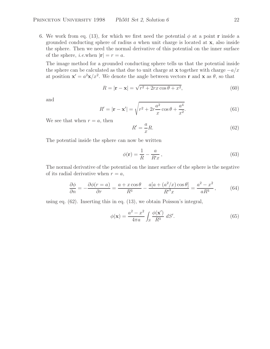6. We work from eq. (13), for which we first need the potential  $\phi$  at a point **r** inside a grounded conducting sphere of radius a when unit charge is located at **x**, also inside the sphere. Then we need the normal derivative of this potential on the inner surface of the sphere, *i.e.*when  $|\mathbf{r}| = r = a$ .

The image method for a grounded conducting sphere tells us that the potential inside the sphere can be calculated as that due to unit charge at **x** together with charge  $-a/x$ at position  $\mathbf{x}' = a^2 \mathbf{x}/x^2$ . We denote the angle between vectors **r** and **x** as  $\theta$ , so that

$$
R = |\mathbf{r} - \mathbf{x}| = \sqrt{r^2 + 2rx \cos \theta + x^2},\tag{60}
$$

and

$$
R' = |\mathbf{r} - \mathbf{x}'| = \sqrt{r^2 + 2r\frac{a^2}{x}\cos\theta + \frac{a^4}{x^2}}.
$$
 (61)

We see that when  $r = a$ , then

$$
R' = -\frac{a}{x}R.\tag{62}
$$

The potential inside the sphere can now be written

$$
\phi(\mathbf{r}) = \frac{1}{R} - \frac{a}{R'x},\tag{63}
$$

The normal derivative of the potential on the inner surface of the sphere is the negative of its radial derivative when  $r = a$ ,

$$
\frac{\partial \phi}{\partial n} = -\frac{\partial \phi(r=a)}{\partial r} = \frac{a + x \cos \theta}{R^3} - \frac{a[a + (a^2/x) \cos \theta]}{R'^3 x} = \frac{a^2 - x^2}{aR^3},\tag{64}
$$

using eq. (62). Inserting this in eq. (13), we obtain Poisson's integral,

$$
\phi(\mathbf{x}) = \frac{a^2 - x^2}{4\pi a} \int_S \frac{\phi(\mathbf{x}')}{R^3} dS'.\tag{65}
$$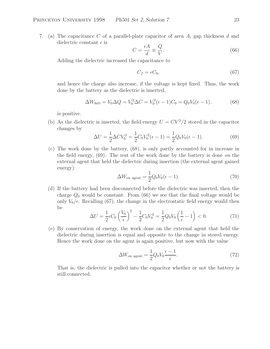7. (a) The capacitance C of a parallel-plate capacitor of area A, gap thickness d and dielectric constant  $\epsilon$  is

$$
C = \frac{\epsilon A}{d} \equiv \frac{Q}{V}.\tag{66}
$$

Adding the dielectric increased the capacitance to

$$
C_f = \epsilon C_0,\tag{67}
$$

and hence the charge also increase, if the voltage is kept fixed. Thus, the work done by the battery as the dielectric is inserted,

$$
\Delta W_{batt} = V_0 \Delta Q = V_0^2 \Delta C = V_0^2 (\epsilon - 1) C_0 = Q_0 V_0 (\epsilon - 1), \tag{68}
$$

is positive.

(b) As the dielectric is inserted, the field energy  $U = CV^2/2$  stored in the capacitor changes by

$$
\Delta U = \frac{1}{2} \Delta C V_0^2 = \frac{1}{2} C_0 V_0^2 (\epsilon - 1) = \frac{1}{2} Q_0 V_0 (\epsilon - 1).
$$
 (69)

(c) The work done by the battery, (68), is only partly accounted for in increase in the field energy, (69). The rest of the work done by the battery is done *on* the external agent that held the dielectric during insertion (the external agent gained energy):

$$
\Delta W_{\text{on agent}} = \frac{1}{2} Q_0 V_0 (\epsilon - 1). \tag{70}
$$

(d) If the battery had been disconnected before the dielectric was inserted, then the charge  $Q_0$  would be constant. From (66) we see that the final voltage would be only  $V_0/\epsilon$ . Recalling (67), the change in the electrostatic field energy would then be

$$
\Delta U = \frac{1}{2} \epsilon C_0 \left(\frac{V_0}{\epsilon}\right)^2 - \frac{1}{2} C_0 V_0^2 = \frac{1}{2} Q_0 V_0 \left(\frac{1}{\epsilon} - 1\right) < 0. \tag{71}
$$

(e) By conservation of energy, the work done on the external agent that held the dielectric during insertion is equal and opposite to the change in stored energy. Hence the work done on the agent is again positive, but now with the value

$$
\Delta W_{\text{on agent}} = \frac{1}{2} Q_0 V_0 \frac{\epsilon - 1}{\epsilon}.
$$
\n(72)

That is, the dielectric is pulled into the capacitor whether or not the battery is still connected.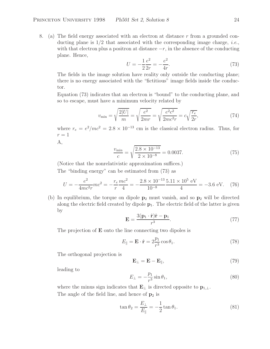8. (a) The field energy associated with an electron at distance r from a grounded conducting plane is 1/2 that associated with the corresponding image charge, *i.e.*, with that electron plus a positron at distance  $-r$ , in the absence of the conducting plane. Hence,

$$
U = -\frac{1}{2}\frac{e^2}{2r} = -\frac{e^2}{4r}.
$$
\n(73)

The fields in the image solution have reality only outside the conducting plane; there is no energy associated with the "fictitious" image fields inside the conductor.

Equation (73) indicates that an electron is "bound" to the conducting plane, and so to escape, must have a minimum velocity related by

$$
v_{\min} = \sqrt{\frac{2|U|}{m}} = \sqrt{\frac{e^2}{2mr}} = \sqrt{\frac{e^2c^2}{2mc^2r}} = c\sqrt{\frac{r_e}{2r}},\tag{74}
$$

where  $r_e = e^2/mc^2 = 2.8 \times 10^{-13}$  cm is the classical electron radius. Thus, for  $r=1$ 

A,

$$
\frac{v_{\text{min}}}{c} = \sqrt{\frac{2.8 \times 10^{-13}}{2 \times 10^{-8}}} = 0.0037. \tag{75}
$$

(Notice that the nonrelativistic approximation suffices.)

The "binding energy" can be estimated from (73) as

$$
U = -\frac{e^2}{4mc^2r}mc^2 = -\frac{r_e}{r}\frac{mc^2}{4} = -\frac{2.8 \times 10^{-13}}{10^{-8}}\frac{5.11 \times 10^5 \text{ eV}}{4} = -3.6 \text{ eV}.
$$
 (76)

(b) In equilibrium, the torque on dipole **p**<sup>2</sup> must vanish, and so **p**<sup>2</sup> will be directed along the electric field created by dipole  $p_1$ . The electric field of the latter is given by

$$
\mathbf{E} = \frac{3(\mathbf{p}_1 \cdot \hat{\mathbf{r}})\hat{\mathbf{r}} - \mathbf{p}_1}{r^3}.
$$
 (77)

The projection of **E** onto the line connecting two dipoles is

$$
E_{\parallel} = \mathbf{E} \cdot \hat{\mathbf{r}} = 2 \frac{p_1}{r^3} \cos \theta_1.
$$
 (78)

The orthogonal projection is

$$
\mathbf{E}_{\perp} = \mathbf{E} - \mathbf{E}_{\parallel},\tag{79}
$$

leading to

$$
E_{\perp} = -\frac{p_1}{r^3} \sin \theta_1, \tag{80}
$$

where the minus sign indicates that  $\mathbf{E}_{\perp}$  is directed opposite to  $\mathbf{p}_{1,\perp}$ . The angle of the field line, and hence of  $p_2$  is

$$
\tan \theta_2 = \frac{E_\perp}{E_\parallel} = -\frac{1}{2} \tan \theta_1. \tag{81}
$$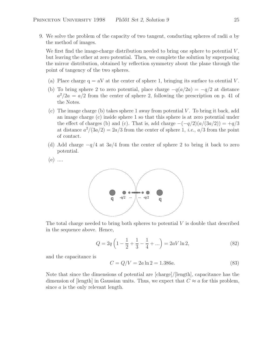9. We solve the problem of the capacity of two tangent, conducting spheres of radii a by the method of images.

We first find the image-charge distribution needed to bring one sphere to potential  $V$ , but leaving the other at zero potential. Then, we complete the solution by superposing the mirror distribution, obtained by reflection symmetry about the plane through the point of tangency of the two spheres.

- (a) Place charge  $q = aV$  at the center of sphere 1, bringing its surface to otential V.
- (b) To bring sphere 2 to zero potential, place charge  $-q(a/2a) = -q/2$  at distance  $a^2/2a = a/2$  from the center of sphere 2, following the prescription on p. 41 of the Notes.
- (c) The image charge (b) takes sphere 1 away from potential  $V$ . To bring it back, add an image charge (c) inside sphere 1 so that this sphere is at zero potential under the effect of charges (b) and (c). That is, add charge  $-(-q/2)(a/(3a/2)) = +q/3$ at distance  $a^2/(3a/2) = 2a/3$  from the center of sphere 1, *i.e.*,  $a/3$  from the point of contact.
- (d) Add charge  $-q/4$  at  $3a/4$  from the center of sphere 2 to bring it back to zero potential.
- $(e)$  ....



The total charge needed to bring both spheres to potential  $V$  is double that described in the sequence above. Hence,

$$
Q = 2q \left( 1 - \frac{1}{2} + \frac{1}{3} - \frac{1}{4} + \ldots \right) = 2aV \ln 2, \tag{82}
$$

and the capacitance is

$$
C = Q/V = 2a \ln 2 = 1.386a.
$$
 (83)

Note that since the dimensions of potential are [charge]/[length], capacitance has the dimension of [length] in Gaussian units. Thus, we expect that  $C \approx a$  for this problem, since a is the only relevant length.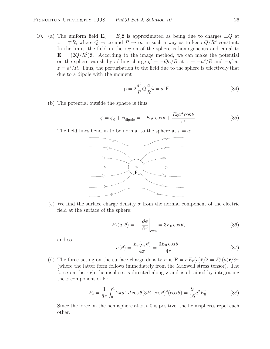10. (a) The uniform field  $\mathbf{E}_0 = E_0 \hat{\mathbf{z}}$  is approximated as being due to charges  $\pm Q$  at  $z = \pm R$ , where  $Q \to \infty$  and  $R \to \infty$  in such a way as to keep  $Q/R^2$  constant. In the limit, the field in the region of the sphere is homogeneous and equal to  $\mathbf{E} = (2Q/R^2)\hat{\mathbf{z}}$ . According to the image method, we can make the potential on the sphere vanish by adding charge  $q' = -Qa/R$  at  $z = -a^2/R$  and  $-q'$  at  $z = a^2/R$ . Thus, the perturbation to the field due to the sphere is effectively that due to a dipole with the moment

$$
\mathbf{p} = 2\frac{a^2}{R}Q\frac{a}{R}\hat{\mathbf{z}} = a^3 \mathbf{E}_0.
$$
 (84)

(b) The potential outside the sphere is thus,

$$
\phi = \phi_0 + \phi_{\text{dipole}} = -E_0 r \cos \theta + \frac{E_0 a^3 \cos \theta}{r^2}.
$$
\n(85)

The field lines bend in to be normal to the sphere at  $r = a$ .



(c) We find the surface charge density  $\sigma$  from the normal component of the electric field at the surface of the sphere:

$$
E_r(a,\theta) = -\left. \frac{\partial \phi}{\partial r} \right|_{r=a} = 3E_0 \cos \theta, \tag{86}
$$

and so

$$
\sigma(\theta) = \frac{E_r(a,\theta)}{4\pi} = \frac{3E_0 \cos \theta}{4\pi}.
$$
\n(87)

(d) The force acting on the surface charge density  $\sigma$  is  $\mathbf{F} = \sigma E_r(a)\hat{\mathbf{r}}/2 = E_r^2(a)\hat{\mathbf{r}}/8\pi$ (where the latter form follows immediately from the Maxwell stress tensor). The force on the right hemisphere is directed along **z** and is obtained by integrating the z component of **F**:

$$
F_z = \frac{1}{8\pi} \int_0^1 2\pi a^2 \ d\cos\theta (3E_0 \cos\theta)^2 (\cos\theta) = \frac{9}{16} a^2 E_0^2.
$$
 (88)

Since the force on the hemisphere at  $z > 0$  is positive, the hemispheres repel each other.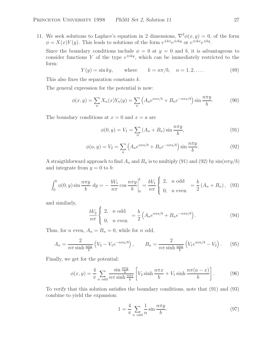11. We seek solutions to Laplace's equation in 2 dimensions,  $\nabla^2 \phi(x, y) = 0$ , of the form  $\phi = X(x)Y(y)$ . This leads to solutions of the form  $e^{\pm kx}e^{\pm iky}$  or  $e^{\pm ikx}e^{\pm ky}$ .

Since the boundary conditions include  $\phi = 0$  at  $y = 0$  and b, it is advantageous to consider functions Y of the type  $e^{\pm iky}$ , which can be immediately restricted to the form:

$$
Y(y) = \sin ky
$$
, where  $k = n\pi/b$ ,  $n = 1, 2, ....$  (89)

This also fixes the separation constants k.

The general expression for the potential is now:

$$
\phi(x,y) = \sum_{n} X_n(x) Y_n(y) = \sum_{n} \left( A_n e^{n\pi x/b} + B_n e^{-n\pi x/b} \right) \sin \frac{n\pi y}{b}.
$$
 (90)

The boundary conditions at  $x = 0$  and  $x = a$  are

$$
\phi(0, y) = V_1 = \sum_{n} (A_n + B_n) \sin \frac{n \pi y}{b},
$$
\n(91)

$$
\phi(a, y) = V_2 = \sum_n \left( A_n e^{n\pi a/b} + B_n e^{-n\pi a/b} \right) \sin \frac{n\pi y}{b}.
$$
\n
$$
(92)
$$

A straigthforward approach to find  $A_n$  and  $B_n$  is to multiply (91) and (92) by  $\sin(n\pi y/b)$ and integrate from  $y = 0$  to b:

$$
\int_0^b \phi(0, y) \sin \frac{n \pi y}{b} dy = -\frac{bV_1}{n \pi} \cos \frac{n \pi y}{b} \bigg|_0^b = \frac{bV_1}{n \pi} \begin{cases} 2, & n \text{ odd} \\ 0, & n \text{ even} \end{cases} = \frac{b}{2} (A_n + B_n), \quad (93)
$$

and similarly,

$$
\frac{bV_2}{n\pi} \begin{cases} 2, & n \text{ odd} \\ 0, & n \text{ even} \end{cases} = \frac{b}{2} \left( A_n e^{n\pi a/b} + B_n e^{-n\pi a/b} \right). \tag{94}
$$

Thus, for *n* even,  $A_n = B_n = 0$ , while for *n* odd,

$$
A_n = \frac{2}{n\pi \sinh \frac{n\pi a}{b}} \left( V_2 - V_1 e^{-n\pi a/b} \right), \qquad B_n = \frac{2}{n\pi \sinh \frac{n\pi a}{b}} \left( V_1 e^{n\pi a/b} - V_2 \right). \tag{95}
$$

Finally, we get for the potential:

$$
\phi(x,y) = \frac{4}{\pi} \sum_{n \text{ odd}} \frac{\sin \frac{n\pi y}{b}}{n\pi \sinh \frac{n\pi a}{b}} \left[ V_2 \sinh \frac{n\pi x}{b} + V_1 \sinh \frac{n\pi (a-x)}{b} \right]. \tag{96}
$$

To verify that this solution satisfies the boundary conditions, note that (91) and (93) combine to yield the expansion:

$$
1 = \frac{4}{\pi} \sum_{n \text{ odd}} \frac{1}{n} \sin \frac{n\pi y}{b}.
$$
 (97)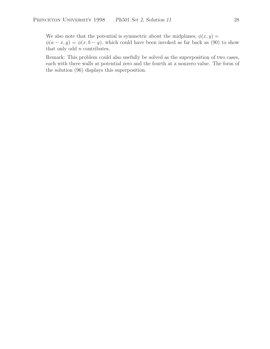We also note that the potential is symmetric about the midplanes,  $\phi(x, y) =$  $\phi(a-x, y) = \phi(x, b-y)$ , which could have been invoked as far back as (90) to show that only odd  $n$  contributes.

Remark: This problem could also usefully be solved as the superposition of two cases, each with three walls at potential zero and the fourth at a nonzero value. The form of the solution (96) displays this superposition.